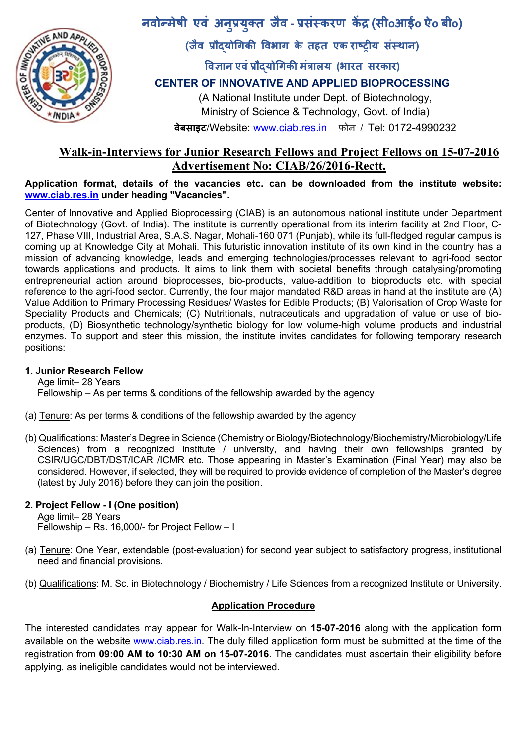

**नवोÛमेषी एवं अन प्रय क्त जवै ‐ प्रसंèकरण कɅद्र (सीoआईo ऐo बीo) ु ु**

**(जवै प्रौɮयोिगकी िवभाग के तहत एक राçट्रीय सèथान ं )** 

**िवज्ञान एवंप्रौɮयोिगकी मंत्रालय (भारत सरकार)**

## **CENTER OF INNOVATIVE AND APPLIED BIOPROCESSING**

(A National Institute under Dept. of Biotechnology, Ministry of Science & Technology, Govt. of India)

**वेबसाइट/**Website: www.ciab.res.in फ़ोन / Tel: 0172-4990232

# **Walk-in-Interviews for Junior Research Fellows and Project Fellows on 15-07-2016 Advertisement No: CIAB/26/2016-Rectt.**

### **Application format, details of the vacancies etc. can be downloaded from the institute website: www.ciab.res.in under heading "Vacancies".**

Center of Innovative and Applied Bioprocessing (CIAB) is an autonomous national institute under Department of Biotechnology (Govt. of India). The institute is currently operational from its interim facility at 2nd Floor, C-127, Phase VIII, Industrial Area, S.A.S. Nagar, Mohali-160 071 (Punjab), while its full-fledged regular campus is coming up at Knowledge City at Mohali. This futuristic innovation institute of its own kind in the country has a mission of advancing knowledge, leads and emerging technologies/processes relevant to agri-food sector towards applications and products. It aims to link them with societal benefits through catalysing/promoting entrepreneurial action around bioprocesses, bio-products, value-addition to bioproducts etc. with special reference to the agri-food sector. Currently, the four major mandated R&D areas in hand at the institute are (A) Value Addition to Primary Processing Residues/ Wastes for Edible Products; (B) Valorisation of Crop Waste for Speciality Products and Chemicals; (C) Nutritionals, nutraceuticals and upgradation of value or use of bioproducts, (D) Biosynthetic technology/synthetic biology for low volume-high volume products and industrial enzymes. To support and steer this mission, the institute invites candidates for following temporary research positions:

## **1. Junior Research Fellow**

Age limit– 28 Years Fellowship – As per terms & conditions of the fellowship awarded by the agency

- (a) Tenure: As per terms & conditions of the fellowship awarded by the agency
- (b) Qualifications: Master's Degree in Science (Chemistry or Biology/Biotechnology/Biochemistry/Microbiology/Life Sciences) from a recognized institute / university, and having their own fellowships granted by CSIR/UGC/DBT/DST/ICAR /ICMR etc. Those appearing in Master's Examination (Final Year) may also be considered. However, if selected, they will be required to provide evidence of completion of the Master's degree (latest by July 2016) before they can join the position.

## **2. Project Fellow - I (One position)**

Age limit– 28 Years Fellowship – Rs. 16,000/- for Project Fellow – I

- (a) Tenure: One Year, extendable (post-evaluation) for second year subject to satisfactory progress, institutional need and financial provisions.
- (b) Qualifications: M. Sc. in Biotechnology / Biochemistry / Life Sciences from a recognized Institute or University.

## **Application Procedure**

The interested candidates may appear for Walk-In-Interview on **15-07-2016** along with the application form available on the website www.ciab.res.in. The duly filled application form must be submitted at the time of the registration from **09:00 AM to 10:30 AM on 15-07-2016**. The candidates must ascertain their eligibility before applying, as ineligible candidates would not be interviewed.